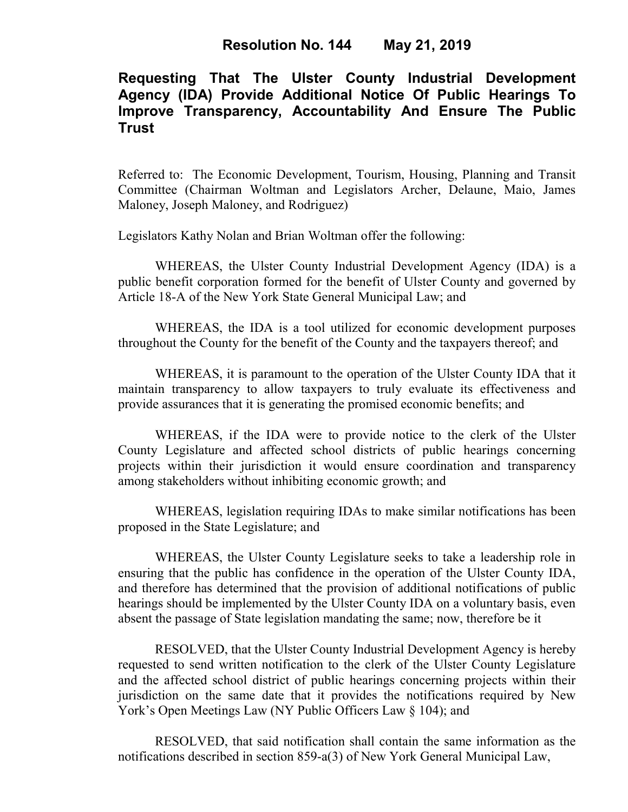# **Requesting That The Ulster County Industrial Development Agency (IDA) Provide Additional Notice Of Public Hearings To Improve Transparency, Accountability And Ensure The Public Trust**

Referred to: The Economic Development, Tourism, Housing, Planning and Transit Committee (Chairman Woltman and Legislators Archer, Delaune, Maio, James Maloney, Joseph Maloney, and Rodriguez)

Legislators Kathy Nolan and Brian Woltman offer the following:

WHEREAS, the Ulster County Industrial Development Agency (IDA) is a public benefit corporation formed for the benefit of Ulster County and governed by Article 18-A of the New York State General Municipal Law; and

WHEREAS, the IDA is a tool utilized for economic development purposes throughout the County for the benefit of the County and the taxpayers thereof; and

WHEREAS, it is paramount to the operation of the Ulster County IDA that it maintain transparency to allow taxpayers to truly evaluate its effectiveness and provide assurances that it is generating the promised economic benefits; and

WHEREAS, if the IDA were to provide notice to the clerk of the Ulster County Legislature and affected school districts of public hearings concerning projects within their jurisdiction it would ensure coordination and transparency among stakeholders without inhibiting economic growth; and

WHEREAS, legislation requiring IDAs to make similar notifications has been proposed in the State Legislature; and

WHEREAS, the Ulster County Legislature seeks to take a leadership role in ensuring that the public has confidence in the operation of the Ulster County IDA, and therefore has determined that the provision of additional notifications of public hearings should be implemented by the Ulster County IDA on a voluntary basis, even absent the passage of State legislation mandating the same; now, therefore be it

RESOLVED, that the Ulster County Industrial Development Agency is hereby requested to send written notification to the clerk of the Ulster County Legislature and the affected school district of public hearings concerning projects within their jurisdiction on the same date that it provides the notifications required by New York's Open Meetings Law (NY Public Officers Law  $\S$  104); and

RESOLVED, that said notification shall contain the same information as the notifications described in section 859-a(3) of New York General Municipal Law,